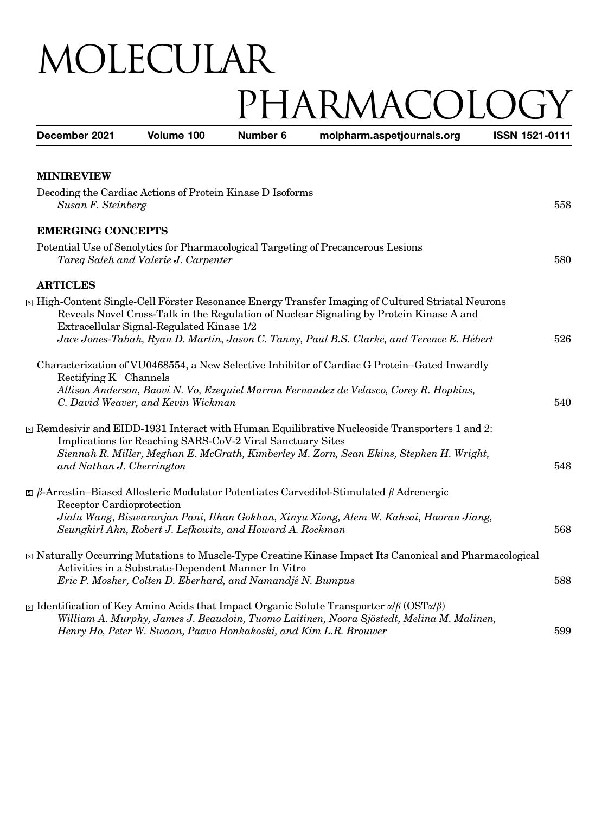## MOLECULAR PHARMACOLOGY  $\overline{a}$  $2021$  $V_{\alpha}$  $\overline{100}$

| December 2021                                                                   | volume 100                                                 | Number 6 | moipnarm.aspetjournais.org                                                                                                                                                                                                                                                                             | ISSN 1521-0111 |  |
|---------------------------------------------------------------------------------|------------------------------------------------------------|----------|--------------------------------------------------------------------------------------------------------------------------------------------------------------------------------------------------------------------------------------------------------------------------------------------------------|----------------|--|
| <b>MINIREVIEW</b>                                                               |                                                            |          |                                                                                                                                                                                                                                                                                                        |                |  |
| Decoding the Cardiac Actions of Protein Kinase D Isoforms<br>Susan F. Steinberg |                                                            |          |                                                                                                                                                                                                                                                                                                        | 558            |  |
| <b>EMERGING CONCEPTS</b>                                                        |                                                            |          |                                                                                                                                                                                                                                                                                                        |                |  |
|                                                                                 | Tareg Saleh and Valerie J. Carpenter                       |          | Potential Use of Senolytics for Pharmacological Targeting of Precancerous Lesions                                                                                                                                                                                                                      | 580            |  |
| <b>ARTICLES</b>                                                                 |                                                            |          |                                                                                                                                                                                                                                                                                                        |                |  |
|                                                                                 | Extracellular Signal-Regulated Kinase 1/2                  |          | <b>In High-Content Single-Cell Förster Resonance Energy Transfer Imaging of Cultured Striatal Neurons</b><br>Reveals Novel Cross-Talk in the Regulation of Nuclear Signaling by Protein Kinase A and                                                                                                   |                |  |
|                                                                                 |                                                            |          | Jace Jones-Tabah, Ryan D. Martin, Jason C. Tanny, Paul B.S. Clarke, and Terence E. Hébert                                                                                                                                                                                                              | 526            |  |
| Rectifying $K^+$ Channels                                                       |                                                            |          | Characterization of VU0468554, a New Selective Inhibitor of Cardiac G Protein-Gated Inwardly<br>Allison Anderson, Baovi N. Vo, Ezequiel Marron Fernandez de Velasco, Corey R. Hopkins,                                                                                                                 |                |  |
|                                                                                 | C. David Weaver, and Kevin Wickman                         |          |                                                                                                                                                                                                                                                                                                        | 540            |  |
|                                                                                 | Implications for Reaching SARS-CoV-2 Viral Sanctuary Sites |          | $\textcircled{S}$ Remdesivir and EIDD-1931 Interact with Human Equilibrative Nucleoside Transporters 1 and 2:                                                                                                                                                                                          |                |  |
| and Nathan J. Cherrington                                                       |                                                            |          | Siennah R. Miller, Meghan E. McGrath, Kimberley M. Zorn, Sean Ekins, Stephen H. Wright,                                                                                                                                                                                                                | 548            |  |
|                                                                                 |                                                            |          | $\Box$ $\beta$ -Arrestin–Biased Allosteric Modulator Potentiates Carvedilol-Stimulated $\beta$ Adrenergic                                                                                                                                                                                              |                |  |
| Receptor Cardioprotection                                                       | Seungkirl Ahn, Robert J. Lefkowitz, and Howard A. Rockman  |          | Jialu Wang, Biswaranjan Pani, Ilhan Gokhan, Xinyu Xiong, Alem W. Kahsai, Haoran Jiang,                                                                                                                                                                                                                 | 568            |  |
|                                                                                 | Activities in a Substrate-Dependent Manner In Vitro        |          | S Naturally Occurring Mutations to Muscle-Type Creatine Kinase Impact Its Canonical and Pharmacological                                                                                                                                                                                                |                |  |
|                                                                                 | Eric P. Mosher, Colten D. Eberhard, and Namandjé N. Bumpus |          |                                                                                                                                                                                                                                                                                                        | 588            |  |
|                                                                                 |                                                            |          | <b><math>\Box</math></b> Identification of Key Amino Acids that Impact Organic Solute Transporter $\alpha/\beta$ (OST $\alpha/\beta$ )<br>William A. Murphy, James J. Beaudoin, Tuomo Laitinen, Noora Sjöstedt, Melina M. Malinen,<br>Henry Ho, Peter W. Swaan, Paavo Honkakoski, and Kim L.R. Brouwer | 599            |  |